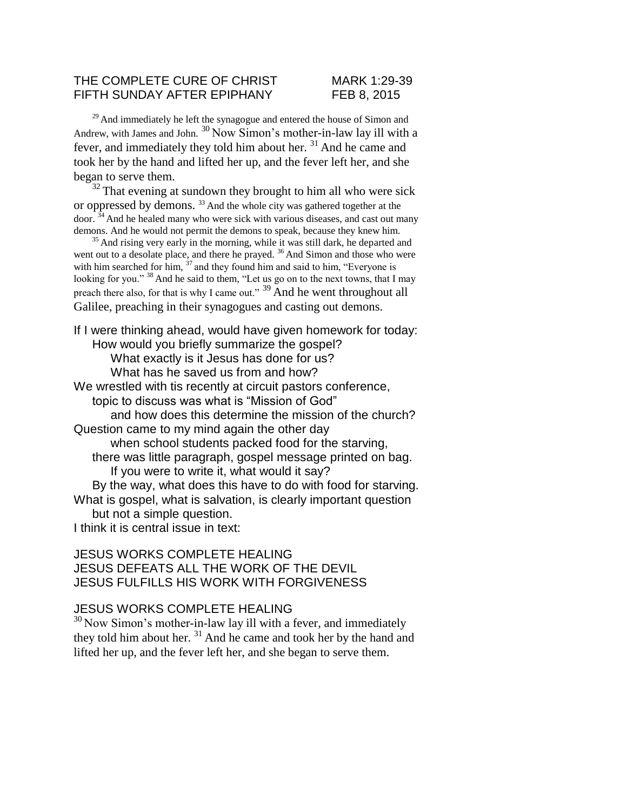#### THE COMPLETE CURE OF CHRIST MARK 1:29-39 FIFTH SUNDAY AFTER EPIPHANY FEB 8, 2015

<sup>29</sup> And immediately he left the synagogue and entered the house of Simon and Andrew, with James and John. <sup>30</sup> Now Simon's mother-in-law lay ill with a fever, and immediately they told him about her.<sup>31</sup> And he came and took her by the hand and lifted her up, and the fever left her, and she began to serve them.

 $32$  That evening at sundown they brought to him all who were sick or oppressed by demons. <sup>33</sup>And the whole city was gathered together at the  $\frac{34}{100}$  And he healed many who were sick with various diseases, and cast out many demons. And he would not permit the demons to speak, because they knew him.

 $35$  And rising very early in the morning, while it was still dark, he departed and went out to a desolate place, and there he prayed.  $36$  And Simon and those who were with him searched for him,  $37$  and they found him and said to him, "Everyone is looking for you." <sup>38</sup> And he said to them, "Let us go on to the next towns, that I may preach there also, for that is why I came out."  $39$  And he went throughout all Galilee, preaching in their synagogues and casting out demons.

If I were thinking ahead, would have given homework for today: How would you briefly summarize the gospel? What exactly is it Jesus has done for us? What has he saved us from and how? We wrestled with tis recently at circuit pastors conference, topic to discuss was what is "Mission of God" and how does this determine the mission of the church? Question came to my mind again the other day when school students packed food for the starving, there was little paragraph, gospel message printed on bag. If you were to write it, what would it say? By the way, what does this have to do with food for starving. What is gospel, what is salvation, is clearly important question but not a simple question. I think it is central issue in text:

## JESUS WORKS COMPLETE HEALING JESUS DEFEATS ALL THE WORK OF THE DEVIL JESUS FULFILLS HIS WORK WITH FORGIVENESS

## JESUS WORKS COMPLETE HEALING

 $30$  Now Simon's mother-in-law lay ill with a fever, and immediately they told him about her.  $31$  And he came and took her by the hand and lifted her up, and the fever left her, and she began to serve them.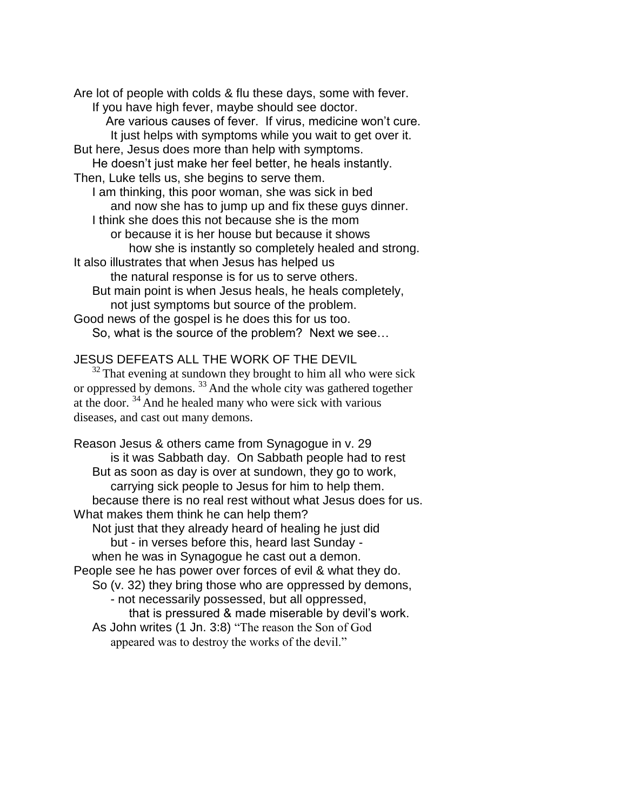Are lot of people with colds & flu these days, some with fever. If you have high fever, maybe should see doctor. Are various causes of fever. If virus, medicine won't cure. It just helps with symptoms while you wait to get over it. But here, Jesus does more than help with symptoms. He doesn't just make her feel better, he heals instantly. Then, Luke tells us, she begins to serve them. I am thinking, this poor woman, she was sick in bed and now she has to jump up and fix these guys dinner. I think she does this not because she is the mom or because it is her house but because it shows how she is instantly so completely healed and strong. It also illustrates that when Jesus has helped us the natural response is for us to serve others. But main point is when Jesus heals, he heals completely, not just symptoms but source of the problem. Good news of the gospel is he does this for us too. So, what is the source of the problem? Next we see…

#### JESUS DEFEATS ALL THE WORK OF THE DEVIL

 $32$  That evening at sundown they brought to him all who were sick or oppressed by demons.<sup>33</sup> And the whole city was gathered together at the door.  $34$  And he healed many who were sick with various diseases, and cast out many demons.

Reason Jesus & others came from Synagogue in v. 29 is it was Sabbath day. On Sabbath people had to rest But as soon as day is over at sundown, they go to work, carrying sick people to Jesus for him to help them. because there is no real rest without what Jesus does for us. What makes them think he can help them? Not just that they already heard of healing he just did but - in verses before this, heard last Sunday when he was in Synagogue he cast out a demon. People see he has power over forces of evil & what they do. So (v. 32) they bring those who are oppressed by demons, - not necessarily possessed, but all oppressed, that is pressured & made miserable by devil's work. As John writes (1 Jn. 3:8) "The reason the Son of God appeared was to destroy the works of the devil."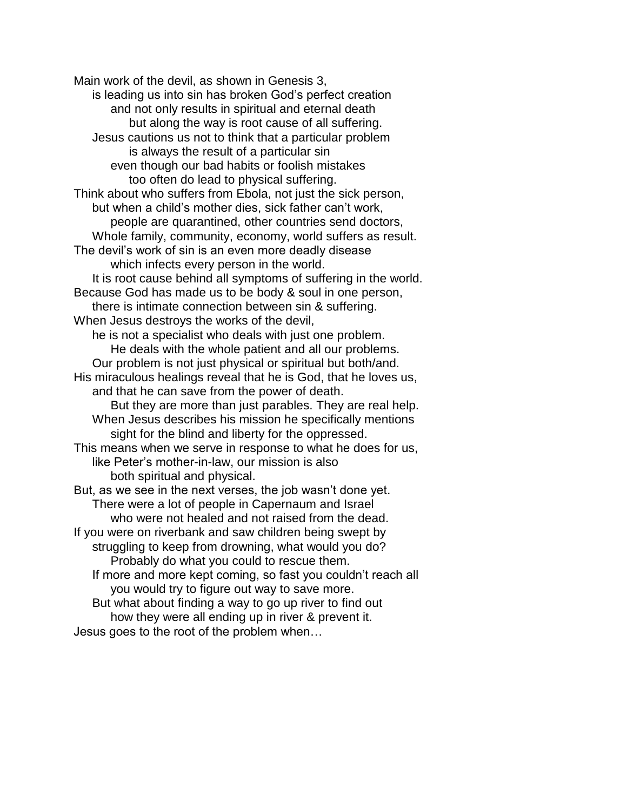Main work of the devil, as shown in Genesis 3, is leading us into sin has broken God's perfect creation and not only results in spiritual and eternal death but along the way is root cause of all suffering. Jesus cautions us not to think that a particular problem is always the result of a particular sin even though our bad habits or foolish mistakes too often do lead to physical suffering. Think about who suffers from Ebola, not just the sick person, but when a child's mother dies, sick father can't work, people are quarantined, other countries send doctors, Whole family, community, economy, world suffers as result. The devil's work of sin is an even more deadly disease which infects every person in the world. It is root cause behind all symptoms of suffering in the world. Because God has made us to be body & soul in one person, there is intimate connection between sin & suffering. When Jesus destroys the works of the devil, he is not a specialist who deals with just one problem. He deals with the whole patient and all our problems. Our problem is not just physical or spiritual but both/and. His miraculous healings reveal that he is God, that he loves us, and that he can save from the power of death. But they are more than just parables. They are real help. When Jesus describes his mission he specifically mentions sight for the blind and liberty for the oppressed. This means when we serve in response to what he does for us, like Peter's mother-in-law, our mission is also both spiritual and physical. But, as we see in the next verses, the job wasn't done yet. There were a lot of people in Capernaum and Israel who were not healed and not raised from the dead. If you were on riverbank and saw children being swept by struggling to keep from drowning, what would you do? Probably do what you could to rescue them. If more and more kept coming, so fast you couldn't reach all you would try to figure out way to save more. But what about finding a way to go up river to find out how they were all ending up in river & prevent it. Jesus goes to the root of the problem when…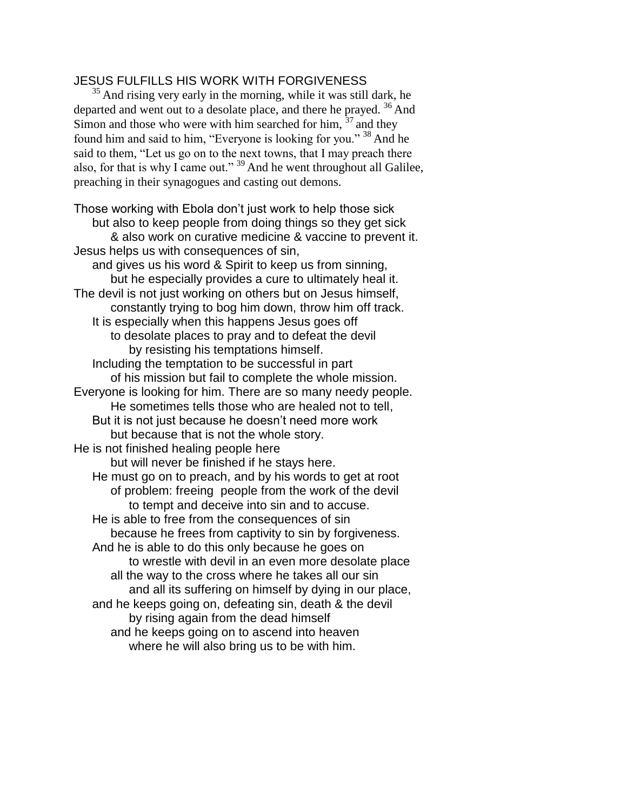# JESUS FULFILLS HIS WORK WITH FORGIVENESS

<sup>35</sup> And rising very early in the morning, while it was still dark, he departed and went out to a desolate place, and there he prayed. <sup>36</sup> And Simon and those who were with him searched for him,  $37$  and they found him and said to him, "Everyone is looking for you."  $38$  And he said to them, "Let us go on to the next towns, that I may preach there also, for that is why I came out."  $39$  And he went throughout all Galilee, preaching in their synagogues and casting out demons.

Those working with Ebola don't just work to help those sick but also to keep people from doing things so they get sick & also work on curative medicine & vaccine to prevent it. Jesus helps us with consequences of sin, and gives us his word & Spirit to keep us from sinning, but he especially provides a cure to ultimately heal it. The devil is not just working on others but on Jesus himself, constantly trying to bog him down, throw him off track. It is especially when this happens Jesus goes off to desolate places to pray and to defeat the devil by resisting his temptations himself. Including the temptation to be successful in part of his mission but fail to complete the whole mission. Everyone is looking for him. There are so many needy people. He sometimes tells those who are healed not to tell, But it is not just because he doesn't need more work but because that is not the whole story. He is not finished healing people here but will never be finished if he stays here. He must go on to preach, and by his words to get at root of problem: freeing people from the work of the devil to tempt and deceive into sin and to accuse. He is able to free from the consequences of sin because he frees from captivity to sin by forgiveness. And he is able to do this only because he goes on to wrestle with devil in an even more desolate place all the way to the cross where he takes all our sin and all its suffering on himself by dying in our place, and he keeps going on, defeating sin, death & the devil by rising again from the dead himself and he keeps going on to ascend into heaven where he will also bring us to be with him.